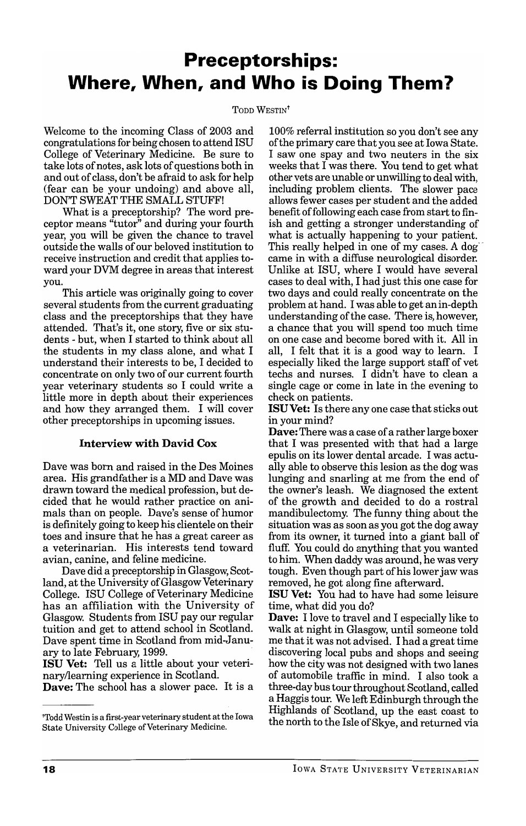# **Preceptorships: Where, When, and Who is Doing Them?**

#### TODD WESTIN<sup>t</sup>

Welcome to the incoming Class of 2003 and congratulations for being chosen to attend ISU College of Veterinary Medicine. Be sure to take lots of notes , ask lots of questions both in and out of class, don't be afraid to ask for help (fear can be your undoing) and above all, DON'T SWEAT THE SMALL STUFF!

What is a preceptorship? The word preceptor means "tutor" and during your fourth year, you will be given the chance to travel outside the walls of our beloved institution to receive instruction and credit that applies toward your DVM degree in areas that interest you.

This article was originally going to cover several students from the current graduating class and the preceptorships that they have attended. That's it, one story, five or six students - but, when I started to think about all the students in my class alone, and what I understand their interests to be, I decided to concentrate on only two of our current fourth year veterinary students so I could write a little more in depth about their experiences and how they arranged them. I will cover other preceptorships in upcoming issues.

## Interview with David Cox

Dave was born and raised in the Des Moines area. His grandfather is a MD and Dave was drawn toward the medical profession, but decided that he would rather practice on animals than on people. Dave's sense of humor is definitely going to keep his clientele on their toes and insure that he has a great career as a veterinarian. His interests tend toward avian, canine, and feline medicine.

Dave did a preceptorship in Glasgow, Scotland, at the University of Glasgow Veterinary College. ISU College of Veterinary Medicine has an affiliation with the University of Glasgow. Students from ISU pay our regular tuition and get to attend school in Scotland. Dave spent time in Scotland from mid-January to late February, 1999.

ISU Vet: Tell us a little about your veterinaryllearning experience in Scotland.

Dave: The school has a slower pace. It is a

100% referral institution so you don't see any of the primary care that you see at Iowa State. I saw one spay and two neuters in the six weeks that I was there. You tend to get what other vets are unable or unwilling to deal with, including problem clients. The slower pace allows fewer cases per student and the added benefit of following each case from start to finish and getting a stronger understanding of what is actually happening to your patient. This really helped in one of my cases. A dog came in with a diffuse neurological disorder. Unlike at ISU, where I would have several cases to deal with, I had just this one case for two days and could really concentrate on the problem at hand. I was able to get an in-depth understanding of the case. There is, however, a chance that you will spend too much time on one case and become bored with it. All in all, I felt that it is a good way to learn. I especially liked the large support staff of vet techs and nurses. I didn't have to clean a single cage or come in late in the evening to check on patients.

ISUVet: Is there anyone case that sticks out in your mind?

Dave: There was a case of a rather large boxer that I was presented with that had a large epulis on its lower dental arcade. I was actually able to observe this lesion as the dog was lunging and snarling at me from the end of the owner's leash. We diagnosed the extent of the growth and decided to do a rostral mandibulectomy. The funny thing about the situation was as soon as you got the dog away from its owner, it turned into a giant ball of fluff. You could do anything that you wanted to him. When daddy was around, he was very tough. Even though part of his lower jaw was removed, he got along fine afterward.

ISU Vet: You had to have had some leisure time, what did you do?

Dave: I love to travel and I especially like to walk at night in Glasgow, until someone told me that it was not advised. I had a great time discovering local pubs and shops and seeing how the city was not designed with two lanes of automobile traffic in mind. I also took a three-day bus tour throughout Scotland, called a Haggis tour. We left Edinburgh through the Highlands of Scotland, up the east coast to the north to the Isle of Skye, and returned via

<sup>&#</sup>x27;Todd Westin is a first-year veterinary student at the Iowa State University College of Veterinary Medicine.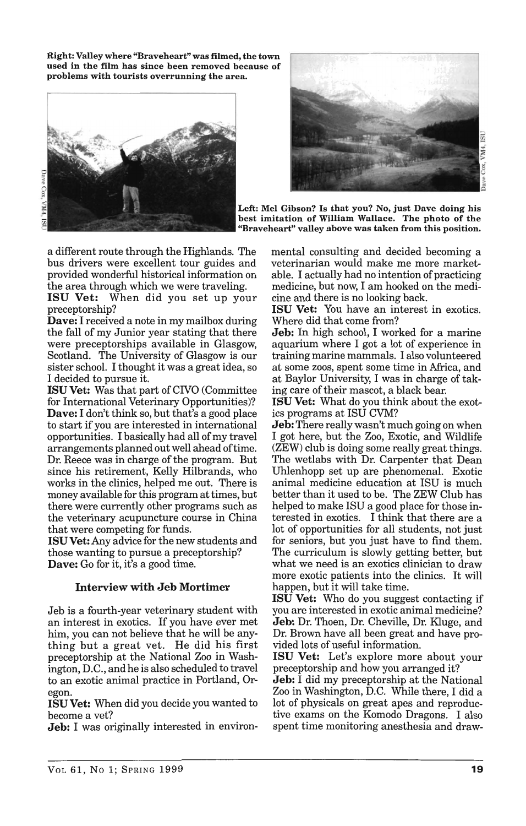Right: Valley where "Braveheart" was filmed, the town used in the film has since been removed because of problems with tourists overrunning the area.





Left: Mel Gibson? Is that you? No, just Dave doing his best imitation of William Wallace. The photo of the "Braveheart" valley above was taken from this position.

a different route through the Highlands. The bus drivers were excellent tour guides and provided wonderful historical information on the area through which we were traveling.

ISU Vet: When did you set up your preceptorship?

Dave: I received a note in my mailbox during the fall of my Junior year stating that there were preceptorships available in Glasgow, Scotland. The University of Glasgow is our sister school. I thought it was a great idea, so I decided to pursue it.

**ISU Vet:** Was that part of CIVO (Committee for International Veterinary Opportunities)? Dave: I don't think so, but that's a good place to start if you are interested in international opportunities. I basically had all of my travel arrangements planned out well ahead oftime. Dr. Reece was in charge of the program. But since his retirement, Kelly Hilbrands, who works in the clinics, helped me out. There is money available for this program at times, but there were currently other programs such as the veterinary acupuncture course in China that were competing for funds.

ISU Vet: Any advice for the new students and those wanting to pursue a preceptorship? Dave: Go for it, it's a good time.

### Interview with Jeb Mortimer

Jeb is a fourth-year veterinary student with an interest in exotics. If you have ever met him, you can not believe that he will be anything but a great vet. He did his first preceptorship at the National Zoo in Washington, D.C., and he is also scheduled to travel to an exotic animal practice in Portland, Oregon.

ISU Vet: When did you decide you wanted to become a vet?

**Jeb:** I was originally interested in environ-

mental consulting and decided becoming a veterinarian would make me more marketable. I actually had no intention of practicing medicine, but now, I am hooked on the medicine and there is no looking back.

ISU Vet: You have an interest in exotics. Where did that come from?

Jeb: In high school, I worked for a marine aquarium where I got a lot of experience in training marine mammals. I also volunteered at some zoos, spent some time in Mrica, and at Baylor University, I was in charge of taking care of their mascot, a black bear.

ISU Vet: What do you think about the exotics programs at ISU CVM?

Jeb: There really wasn't much going on when I got here, but the Zoo, Exotic, and Wildlife (ZEW) club is doing some really great things. The wetlabs with Dr. Carpenter that Dean Uhlenhopp set up are phenomenal. Exotic animal medicine education at ISU is much better than it used to be. The ZEW Club has helped to make ISU a good place for those interested in exotics. I think that there are a lot of opportunities for all students, not just for seniors, but you just have to find them. The curriculum is slowly getting better, but what we need is an exotics clinician to draw more exotic patients into the clinics. It will happen, but it will take time.

ISU Vet: Who do you suggest contacting if you are interested in exotic animal medicine? Jeb: Dr. Thoen, Dr. Cheville, Dr. Kluge, and Dr. Brown have all been great and have provided lots of useful information.

ISU Vet: Let's explore more about your preceptorship and how you arranged it?

**Jeb:** I did my preceptorship at the National Zoo in Washington, D.C. While there, I did a lot of physicals on great apes and reproductive exams on the Komodo Dragons. I also spent time monitoring anesthesia and draw